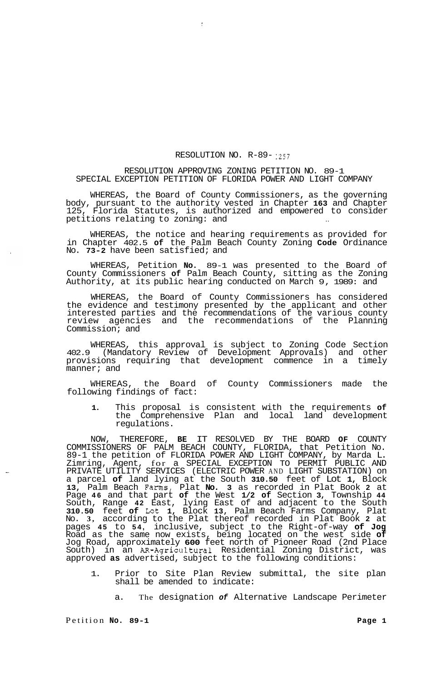## RESOLUTION NO. R-89- <sup>1257</sup>

## RESOLUTION APPROVING ZONING PETITION NO. 89-1 SPECIAL EXCEPTION PETITION OF FLORIDA POWER AND LIGHT COMPANY

 $\ddot{\cdot}$ 

WHEREAS, the Board of County Commissioners, as the governing body, pursuant to the authority vested in Chapter **163** and Chapter 125, Florida Statutes, is authorized and empowered to consider petitions relating to zoning: and

WHEREAS, the notice and hearing requirements as provided for in Chapter 402.5 **of** the Palm Beach County Zoning **Code** Ordinance No. **73-2** have been satisfied; and

WHEREAS, Petition **No.** 89-1 was presented to the Board of County Commissioners **of** Palm Beach County, sitting as the Zoning Authority, at its public hearing conducted on March 9, 1989: and

WHEREAS, the Board of County Commissioners has considered the evidence and testimony presented by the applicant and other interested parties and the recommendations of the various county review agencies and the recommendations of the Planning Commission; and

WHEREAS, this approval is subject to Zoning Code Section 402.9 (Mandatory Review of Development Approvals) and other provisions requiring that development commence in a timely manner; and

WHEREAS, the Board of County Commissioners made the following findings of fact:

**1.** This proposal is consistent with the requirements **of**  the Comprehensive Plan and local land development regulations.

NOW, THEREFORE, **BE** IT RESOLVED BY THE BOARD **OF** COUNTY COMMISSIONERS OF PALM BEACH COUNTY, FLORIDA, that Petition No. 89-1 the petition of FLORIDA POWER AND LIGHT COMPANY, by Marda L. Zimring, Agent, for a SPECIAL EXCEPTION TO PERMIT PUBLIC AND PRIVATE UTILITY SERVICES (ELECTRIC POWER AND LIGHT SUBSTATION) on a parcel **of** land lying at the South **310.50** feet of Lot **1,** Block **13,** Palm Beach Farms, Plat **No. 3** as recorded in Plat Book **2** at Page **46** and that part **of** the West **1/2 of** Section **3,** Township **44**  South, Range **42** East, lying East of and adjacent to the South **310.50** feet **of** Lot **1,** Block **13,** Palm Beach Farms Company, Plat No. **3,** according to the Plat thereof recorded in Plat Book **2** at pages **45** to **54,** inclusive, subject to the Right-of-way **of Jog**  Road as the same now exists, being located on the west side **of**  Jog Road, approximately **600** feet north of Pioneer Road (2nd Place South) in an AR-Agricultural Residential Zoning District, was approved **as** advertised, subject to the following conditions:

- 1. Prior to Site Plan Review submittal, the site plan shall be amended to indicate:
	- a. The designation *of* Alternative Landscape Perimeter

Petition **No.** 89-1 Petition **Page 1**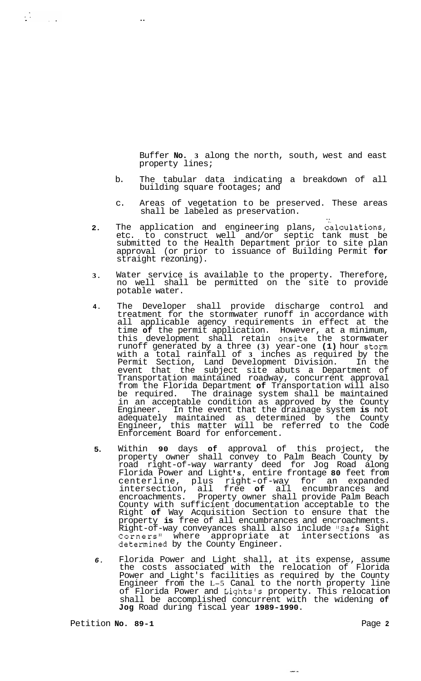Buffer **No. 3** along the north, south, west and east property lines;

b. The tabular data indicating a breakdown of all building square footages; and

..

 $\frac{1}{2} \sum_{i=1}^{n} \frac{1}{2} \sum_{j=1}^{n} \frac{1}{2} \sum_{j=1}^{n} \frac{1}{2} \sum_{j=1}^{n} \frac{1}{2} \sum_{j=1}^{n} \frac{1}{2} \sum_{j=1}^{n} \frac{1}{2} \sum_{j=1}^{n} \frac{1}{2} \sum_{j=1}^{n} \frac{1}{2} \sum_{j=1}^{n} \frac{1}{2} \sum_{j=1}^{n} \frac{1}{2} \sum_{j=1}^{n} \frac{1}{2} \sum_{j=1}^{n} \frac{1}{2} \sum_{j=1}^{n$ 

- c. Areas of vegetation to be preserved. These areas shall be labeled as preservation.
- **2.**  The application and engineering plans, calculations, etc. to construct well and/or septic tank must be submitted to the Health Department prior to site plan approval (or prior to issuance of Building Permit **for**  straight rezoning).
- **3.**  Water service is available to the property. Therefore, no well shall be permitted on the site to provide potable water.
- **4.**  The Developer shall provide discharge control and treatment for the stormwater runoff in accordance with all applicable agency requirements in effect at the time **of** the permit application. However, at a minimum, this development shall retain onsite the stormwater runoff generated by a three **(3)** year-one **(1)** hour storm with a total rainfall of **3** inches as required by the Permit Section, Land Development Division. In the event that the subject site abuts a Department of Transportation maintained roadway, concurrent approval from the Florida Department **of** Transportation will also be required. The drainage system shall be maintained in an acceptable condition as approved by the County Engineer. In the event that the drainage system **is** not adequately maintained as determined by the County Engineer, this matter will be referred to the Code Enforcement Board for enforcement.
- **5.**  Within **90** days **of** approval of this project, the property owner shall convey to Palm Beach County by road right-of-way warranty deed for Jog Road along Florida Power and Light *s,* entire frontage **80** feet from centerline, plus right-of-way for an expanded intersection, all free **of** all encumbrances and encroachments. Property owner shall provide Palm Beach County with sufficient documentation acceptable to the Right **of** Way Acquisition Section to ensure that the property **is** free of all encumbrances and encroachments. Right-of-way conveyances shall also include "Safe Sight<br>Corners" where appropriate at intersections as  $Corners''$  where appropriate at determined by the County Engineer.
- *6.*  Florida Power and Light shall, at its expense, assume the costs associated with the relocation of Florida Power and Light's facilities as required by the County Engineer from the L-5 Canal to the north property line of Florida Power and Lights's property. This relocation shall be accomplished concurrent with the widening **of Jog** Road during fiscal year **1989-1990.**